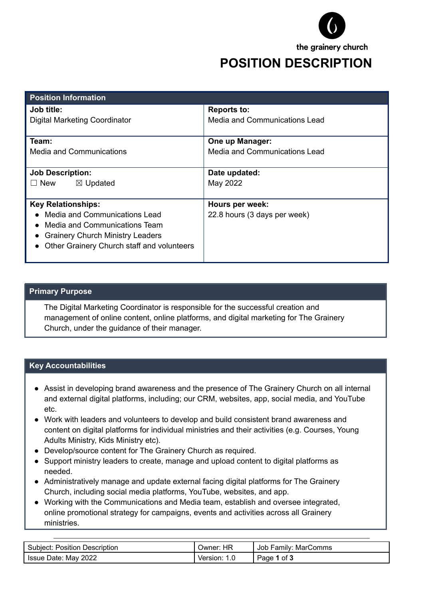

## **POSITION DESCRIPTION**

| <b>Position Information</b>                |                                      |
|--------------------------------------------|--------------------------------------|
| Job title:                                 | <b>Reports to:</b>                   |
| <b>Digital Marketing Coordinator</b>       | Media and Communications Lead        |
| Team:                                      | One up Manager:                      |
| Media and Communications                   | <b>Media and Communications Lead</b> |
| <b>Job Description:</b>                    | Date updated:                        |
| $\Box$ New<br>$\boxtimes$ Updated          | May 2022                             |
| <b>Key Relationships:</b>                  | Hours per week:                      |
| Media and Communications Lead              | 22.8 hours (3 days per week)         |
| Media and Communications Team              |                                      |
| <b>Grainery Church Ministry Leaders</b>    |                                      |
| Other Grainery Church staff and volunteers |                                      |
|                                            |                                      |

## **Primary Purpose**

The Digital Marketing Coordinator is responsible for the successful creation and management of online content, online platforms, and digital marketing for The Grainery Church, under the guidance of their manager.

## **Key Accountabilities**

- Assist in developing brand awareness and the presence of The Grainery Church on all internal and external digital platforms, including; our CRM, websites, app, social media, and YouTube etc.
- Work with leaders and volunteers to develop and build consistent brand awareness and content on digital platforms for individual ministries and their activities (e.g. Courses, Young Adults Ministry, Kids Ministry etc).
- Develop/source content for The Grainery Church as required.
- Support ministry leaders to create, manage and upload content to digital platforms as needed.
- Administratively manage and update external facing digital platforms for The Grainery Church, including social media platforms, YouTube, websites, and app.
- Working with the Communications and Media team, establish and oversee integrated, online promotional strategy for campaigns, events and activities across all Grainery ministries.

| Subject: Position Description | ΗR<br>Owner:    | Job Family: MarComms  |
|-------------------------------|-----------------|-----------------------|
| Issue Date: May 2022          | 1.0<br>Version: | <b>1</b> of 3<br>Page |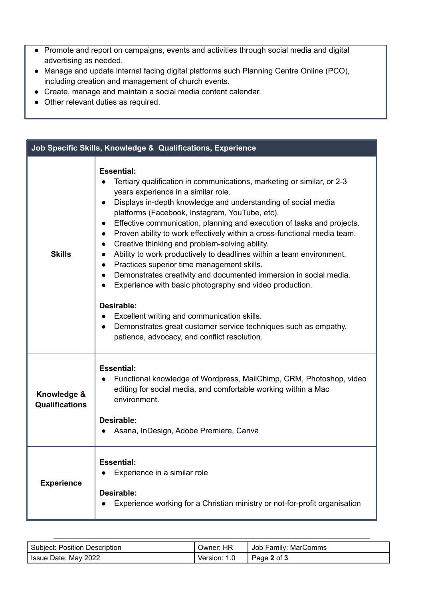- Promote and report on campaigns, events and activities through social media and digital advertising as needed.
- Manage and update internal facing digital platforms such Planning Centre Online (PCO), including creation and management of church events.
- Create, manage and maintain a social media content calendar.
- Other relevant duties as required.

| Job Specific Skills, Knowledge & Qualifications, Experience |                                                                                                                                                                                                                                                                                                                                                                                                                                                                                                                                                                                                                                                                                                                                                                                                                                                                                                                                                                                                             |  |
|-------------------------------------------------------------|-------------------------------------------------------------------------------------------------------------------------------------------------------------------------------------------------------------------------------------------------------------------------------------------------------------------------------------------------------------------------------------------------------------------------------------------------------------------------------------------------------------------------------------------------------------------------------------------------------------------------------------------------------------------------------------------------------------------------------------------------------------------------------------------------------------------------------------------------------------------------------------------------------------------------------------------------------------------------------------------------------------|--|
| <b>Skills</b>                                               | <b>Essential:</b><br>Tertiary qualification in communications, marketing or similar, or 2-3<br>years experience in a similar role.<br>Displays in-depth knowledge and understanding of social media<br>$\bullet$<br>platforms (Facebook, Instagram, YouTube, etc).<br>Effective communication, planning and execution of tasks and projects.<br>$\bullet$<br>Proven ability to work effectively within a cross-functional media team.<br>$\bullet$<br>Creative thinking and problem-solving ability.<br>$\bullet$<br>Ability to work productively to deadlines within a team environment.<br>$\bullet$<br>Practices superior time management skills.<br>$\bullet$<br>Demonstrates creativity and documented immersion in social media.<br>$\bullet$<br>Experience with basic photography and video production.<br>Desirable:<br>Excellent writing and communication skills.<br>Demonstrates great customer service techniques such as empathy,<br>$\bullet$<br>patience, advocacy, and conflict resolution. |  |
| Knowledge &<br><b>Qualifications</b>                        | <b>Essential:</b><br>Functional knowledge of Wordpress, MailChimp, CRM, Photoshop, video<br>$\bullet$<br>editing for social media, and comfortable working within a Mac<br>environment.<br>Desirable:<br>Asana, InDesign, Adobe Premiere, Canva                                                                                                                                                                                                                                                                                                                                                                                                                                                                                                                                                                                                                                                                                                                                                             |  |
| <b>Experience</b>                                           | <b>Essential:</b><br>Experience in a similar role<br>Desirable:<br>Experience working for a Christian ministry or not-for-profit organisation                                                                                                                                                                                                                                                                                                                                                                                                                                                                                                                                                                                                                                                                                                                                                                                                                                                               |  |

| <b>Subject: Position Description</b> | HR<br>∪wner: | Job Family: MarComms |
|--------------------------------------|--------------|----------------------|
| Issue Date: May 2022                 | Version:     | Page 2 of 3          |